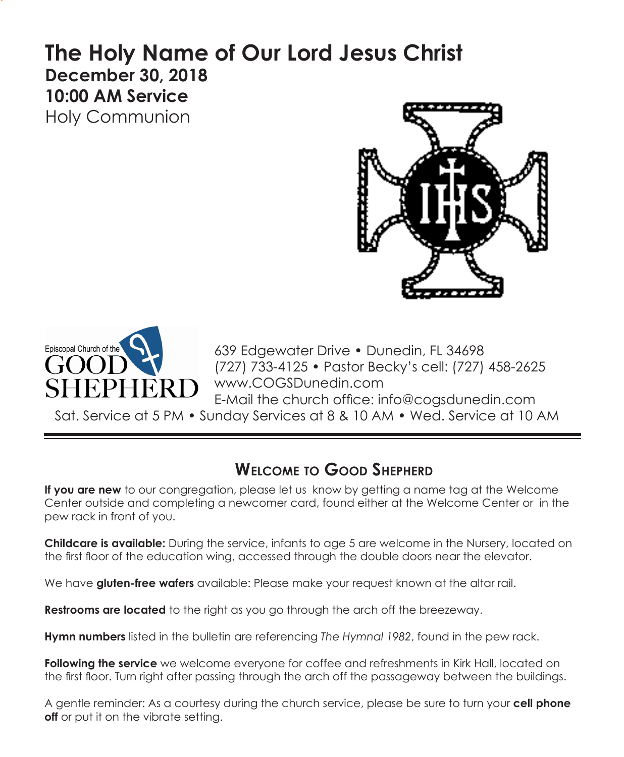# **The Holy Name of Our Lord Jesus Christ December 30, 2018 10:00 AM Service**  Holy Communion





639 Edgewater Drive • Dunedin, FL 34698 (727) 733-4125 • Pastor Becky's cell: (727) 458-2625 www.COGSDunedin.com E-Mail the church office: info@cogsdunedin.com

Sat. Service at 5 PM • Sunday Services at 8 & 10 AM • Wed. Service at 10 AM

# **Welcome to Good Shepherd**

**If you are new** to our congregation, please let us know by getting a name tag at the Welcome Center outside and completing a newcomer card, found either at the Welcome Center or in the pew rack in front of you.

**Childcare is available:** During the service, infants to age 5 are welcome in the Nursery, located on the first floor of the education wing, accessed through the double doors near the elevator.

We have **gluten-free wafers** available: Please make your request known at the altar rail.

**Restrooms are located** to the right as you go through the arch off the breezeway.

**Hymn numbers** listed in the bulletin are referencing *The Hymnal 1982*, found in the pew rack.

**Following the service** we welcome everyone for coffee and refreshments in Kirk Hall, located on the first floor. Turn right after passing through the arch off the passageway between the buildings.

A gentle reminder: As a courtesy during the church service, please be sure to turn your **cell phone off** or put it on the vibrate setting.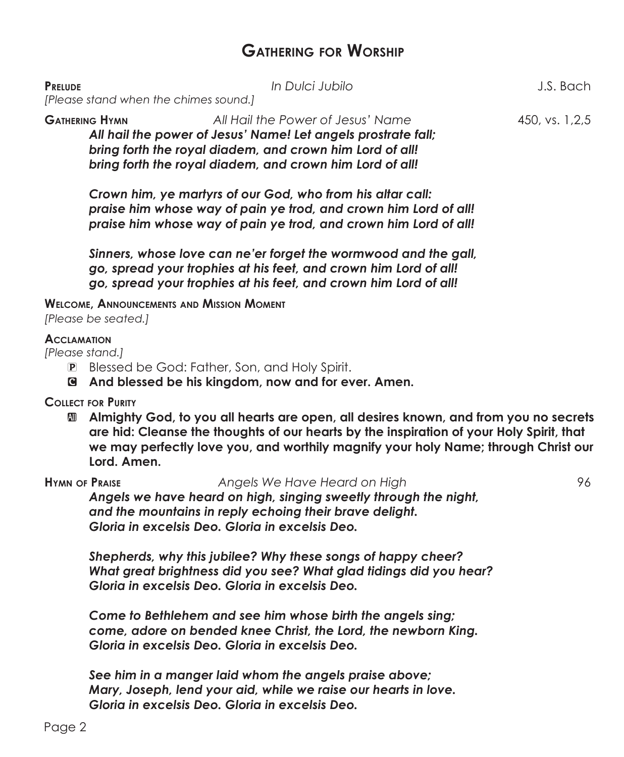## **Gathering for Worship**

| <b>PRELUDE</b><br>[Please stand when the chimes sound.] | In Dulci Jubilo                                                                                                                                                                                                            | J.S. Bach      |
|---------------------------------------------------------|----------------------------------------------------------------------------------------------------------------------------------------------------------------------------------------------------------------------------|----------------|
| <b>GATHERING HYMN</b>                                   | All Hail the Power of Jesus' Name<br>All hail the power of Jesus' Name! Let angels prostrate fall;<br>bring forth the royal diadem, and crown him Lord of all!<br>bring forth the royal diadem, and crown him Lord of all! | 450, vs. 1.2.5 |
|                                                         | Crown him, ye martyrs of our God, who from his altar call:<br>praise him whose way of pain ye trod, and crown him Lord of all!                                                                                             |                |

*praise him whose way of pain ye trod, and crown him Lord of all!*

*Sinners, whose love can ne'er forget the wormwood and the gall, go, spread your trophies at his feet, and crown him Lord of all! go, spread your trophies at his feet, and crown him Lord of all!*

## **Welcome, Announcements and Mission Moment**

*[Please be seated.]*

#### **Acclamation**

*[Please stand.]*

- P Blessed be God: Father, Son, and Holy Spirit.
- C **And blessed be his kingdom, now and for ever. Amen.**

**Collect for Purity**

a **Almighty God, to you all hearts are open, all desires known, and from you no secrets are hid: Cleanse the thoughts of our hearts by the inspiration of your Holy Spirit, that we may perfectly love you, and worthily magnify your holy Name; through Christ our Lord. Amen.**

**Hymn of Praise** *Angels We Have Heard on High* 96 *Angels we have heard on high, singing sweetly through the night, and the mountains in reply echoing their brave delight. Gloria in excelsis Deo. Gloria in excelsis Deo.*

*Shepherds, why this jubilee? Why these songs of happy cheer? What great brightness did you see? What glad tidings did you hear? Gloria in excelsis Deo. Gloria in excelsis Deo.*

*Come to Bethlehem and see him whose birth the angels sing; come, adore on bended knee Christ, the Lord, the newborn King. Gloria in excelsis Deo. Gloria in excelsis Deo.*

*See him in a manger laid whom the angels praise above; Mary, Joseph, lend your aid, while we raise our hearts in love. Gloria in excelsis Deo. Gloria in excelsis Deo.*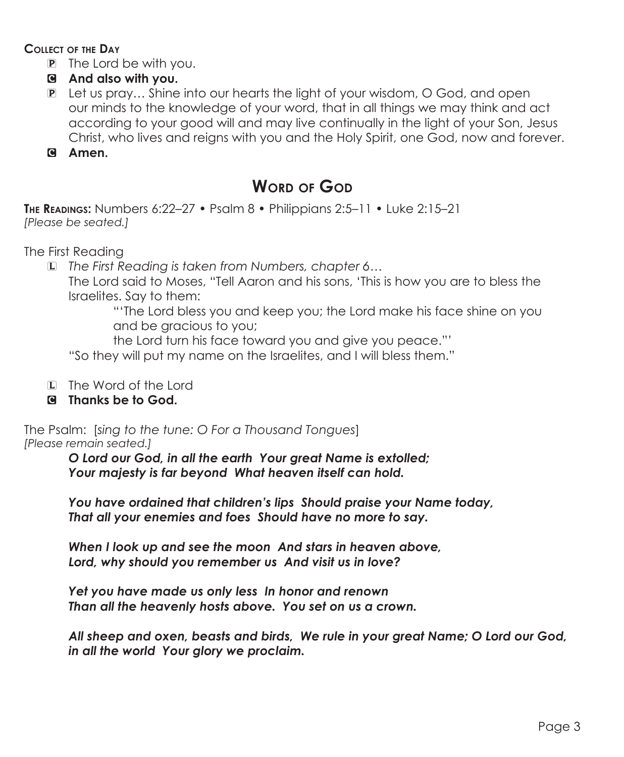### **Collect of the Day**

- P The Lord be with you.
- C **And also with you.**
- P Let us pray… Shine into our hearts the light of your wisdom, O God, and open our minds to the knowledge of your word, that in all things we may think and act according to your good will and may live continually in the light of your Son, Jesus Christ, who lives and reigns with you and the Holy Spirit, one God, now and forever.
- C **Amen.**

# **Word of God**

**The Readings:** Numbers 6:22–27 • Psalm 8 • Philippians 2:5–11 • Luke 2:15–21 *[Please be seated.]*

The First Reading

L *The First Reading is taken from Numbers, chapter 6…*

The Lord said to Moses, "Tell Aaron and his sons, 'This is how you are to bless the Israelites. Say to them:

"'The Lord bless you and keep you; the Lord make his face shine on you and be gracious to you;

the Lord turn his face toward you and give you peace."'

"So they will put my name on the Israelites, and I will bless them."

- L The Word of the Lord
- C **Thanks be to God.**

The Psalm: [*sing to the tune: O For a Thousand Tongues*] *[Please remain seated.]*

> *O Lord our God, in all the earth Your great Name is extolled; Your majesty is far beyond What heaven itself can hold.*

*You have ordained that children's lips Should praise your Name today, That all your enemies and foes Should have no more to say.* 

*When I look up and see the moon And stars in heaven above, Lord, why should you remember us And visit us in love?*

*Yet you have made us only less In honor and renown Than all the heavenly hosts above. You set on us a crown.*

*All sheep and oxen, beasts and birds, We rule in your great Name; O Lord our God, in all the world Your glory we proclaim.*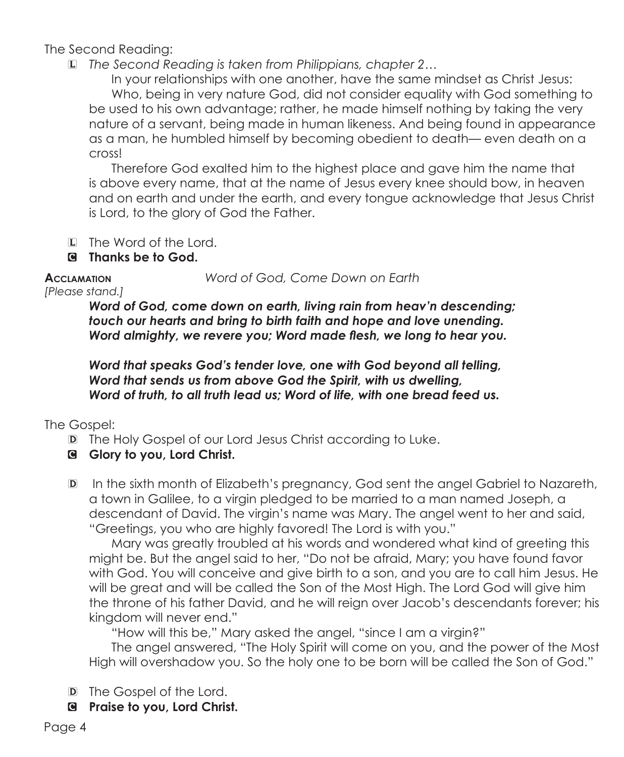The Second Reading:

L *The Second Reading is taken from Philippians, chapter 2…*

 In your relationships with one another, have the same mindset as Christ Jesus: Who, being in very nature God, did not consider equality with God something to be used to his own advantage; rather, he made himself nothing by taking the very nature of a servant, being made in human likeness. And being found in appearance as a man, he humbled himself by becoming obedient to death— even death on a cross!

Therefore God exalted him to the highest place and gave him the name that is above every name, that at the name of Jesus every knee should bow, in heaven and on earth and under the earth, and every tongue acknowledge that Jesus Christ is Lord, to the glory of God the Father.

- L The Word of the Lord.
- C **Thanks be to God.**

**Acclamation** *Word of God, Come Down on Earth*

*[Please stand.]*

*Word of God, come down on earth, living rain from heav'n descending; touch our hearts and bring to birth faith and hope and love unending. Word almighty, we revere you; Word made flesh, we long to hear you.*

*Word that speaks God's tender love, one with God beyond all telling, Word that sends us from above God the Spirit, with us dwelling, Word of truth, to all truth lead us; Word of life, with one bread feed us.*

The Gospel:

- D The Holy Gospel of our Lord Jesus Christ according to Luke.
- C **Glory to you, Lord Christ.**
- D In the sixth month of Elizabeth's pregnancy, God sent the angel Gabriel to Nazareth, a town in Galilee, to a virgin pledged to be married to a man named Joseph, a descendant of David. The virgin's name was Mary. The angel went to her and said, "Greetings, you who are highly favored! The Lord is with you."

 Mary was greatly troubled at his words and wondered what kind of greeting this might be. But the angel said to her, "Do not be afraid, Mary; you have found favor with God. You will conceive and give birth to a son, and you are to call him Jesus. He will be great and will be called the Son of the Most High. The Lord God will give him the throne of his father David, and he will reign over Jacob's descendants forever; his kingdom will never end."

"How will this be," Mary asked the angel, "since I am a virgin?"

The angel answered, "The Holy Spirit will come on you, and the power of the Most High will overshadow you. So the holy one to be born will be called the Son of God."

- D The Gospel of the Lord.
- C **Praise to you, Lord Christ.**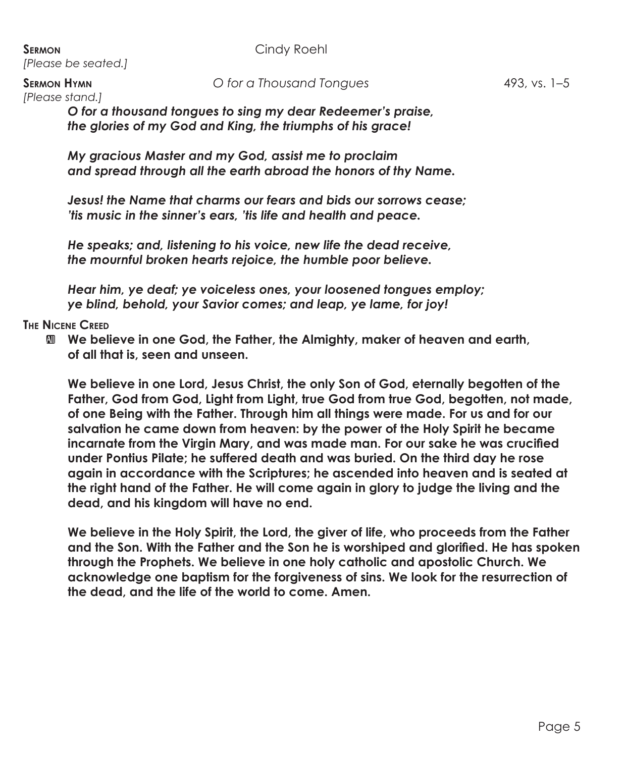**SERMON** Cindy Roehl *[Please be seated.]*

*[Please stand.]*

*O for a thousand tongues to sing my dear Redeemer's praise, the glories of my God and King, the triumphs of his grace!*

*My gracious Master and my God, assist me to proclaim and spread through all the earth abroad the honors of thy Name.*

*Jesus! the Name that charms our fears and bids our sorrows cease; 'tis music in the sinner's ears, 'tis life and health and peace.*

*He speaks; and, listening to his voice, new life the dead receive, the mournful broken hearts rejoice, the humble poor believe.*

*Hear him, ye deaf; ye voiceless ones, your loosened tongues employ; ye blind, behold, your Savior comes; and leap, ye lame, for joy!*

### **The Nicene Creed**

 $\mathbf{M}$  **We believe in one God, the Father, the Almighty, maker of heaven and earth, of all that is, seen and unseen.**

 **We believe in one Lord, Jesus Christ, the only Son of God, eternally begotten of the Father, God from God, Light from Light, true God from true God, begotten, not made, of one Being with the Father. Through him all things were made. For us and for our salvation he came down from heaven: by the power of the Holy Spirit he became incarnate from the Virgin Mary, and was made man. For our sake he was crucified under Pontius Pilate; he suffered death and was buried. On the third day he rose again in accordance with the Scriptures; he ascended into heaven and is seated at the right hand of the Father. He will come again in glory to judge the living and the dead, and his kingdom will have no end.**

 **We believe in the Holy Spirit, the Lord, the giver of life, who proceeds from the Father and the Son. With the Father and the Son he is worshiped and glorified. He has spoken through the Prophets. We believe in one holy catholic and apostolic Church. We acknowledge one baptism for the forgiveness of sins. We look for the resurrection of the dead, and the life of the world to come. Amen.**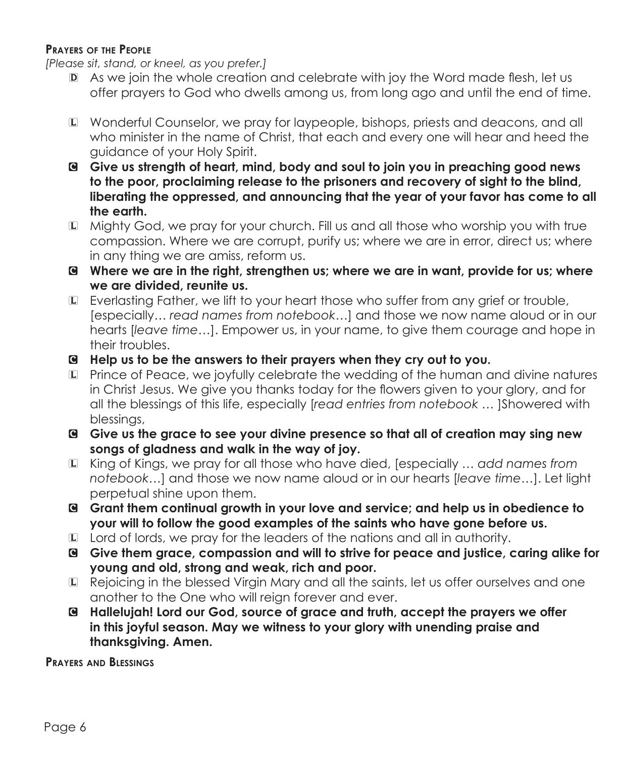### **Prayers of the People**

*[Please sit, stand, or kneel, as you prefer.]*

- D As we join the whole creation and celebrate with joy the Word made flesh, let us offer prayers to God who dwells among us, from long ago and until the end of time.
- L Wonderful Counselor, we pray for laypeople, bishops, priests and deacons, and all who minister in the name of Christ, that each and every one will hear and heed the guidance of your Holy Spirit.
- C **Give us strength of heart, mind, body and soul to join you in preaching good news to the poor, proclaiming release to the prisoners and recovery of sight to the blind, liberating the oppressed, and announcing that the year of your favor has come to all the earth.**
- L Mighty God, we pray for your church. Fill us and all those who worship you with true compassion. Where we are corrupt, purify us; where we are in error, direct us; where in any thing we are amiss, reform us.
- C **Where we are in the right, strengthen us; where we are in want, provide for us; where we are divided, reunite us.**
- L Everlasting Father, we lift to your heart those who suffer from any grief or trouble, [especially… *read names from notebook…*] and those we now name aloud or in our hearts [*leave time…*]. Empower us, in your name, to give them courage and hope in their troubles.
- C **Help us to be the answers to their prayers when they cry out to you.**
- L Prince of Peace, we joyfully celebrate the wedding of the human and divine natures in Christ Jesus. We give you thanks today for the flowers given to your glory, and for all the blessings of this life, especially [*read entries from notebook …* ]Showered with blessings,
- G Give us the grace to see your divine presence so that all of creation may sing new **songs of gladness and walk in the way of joy.**
- L King of Kings, we pray for all those who have died, [especially *… add names from notebook…*] and those we now name aloud or in our hearts [*leave time…*]. Let light perpetual shine upon them.
- C **Grant them continual growth in your love and service; and help us in obedience to your will to follow the good examples of the saints who have gone before us.**
- $\square$  Lord of lords, we pray for the leaders of the nations and all in authority.
- C **Give them grace, compassion and will to strive for peace and justice, caring alike for young and old, strong and weak, rich and poor.**
- L Rejoicing in the blessed Virgin Mary and all the saints, let us offer ourselves and one another to the One who will reign forever and ever.
- C **Hallelujah! Lord our God, source of grace and truth, accept the prayers we offer in this joyful season. May we witness to your glory with unending praise and thanksgiving. Amen.**

**Prayers and Blessings**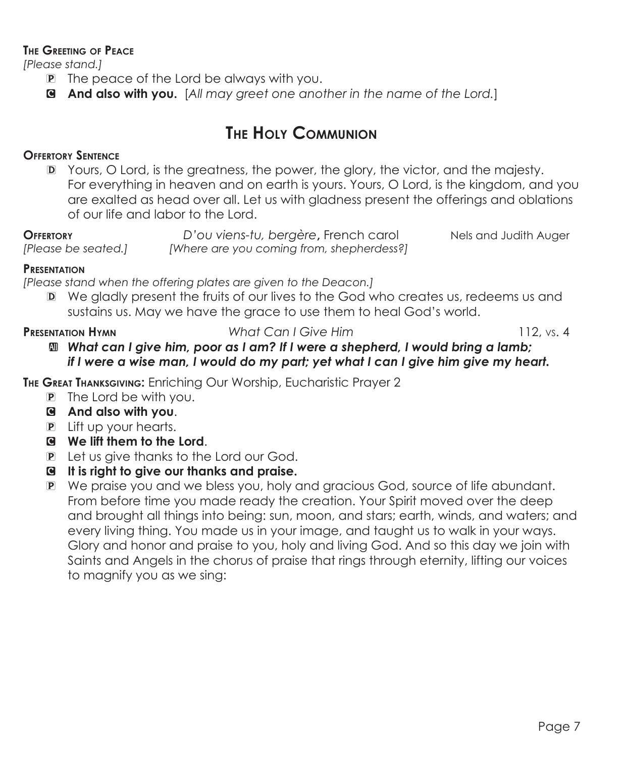#### **The Greeting of Peace**

*[Please stand.]*

- P The peace of the Lord be always with you.
- C **And also with you.** [*All may greet one another in the name of the Lord.*]

# **The Holy Communion**

## **Offertory Sentence**

D Yours, O Lord, is the greatness, the power, the glory, the victor, and the majesty. For everything in heaven and on earth is yours. Yours, O Lord, is the kingdom, and you are exalted as head over all. Let us with gladness present the offerings and oblations of our life and labor to the Lord.

**Offertory** *D'ou viens-tu, bergère***,** French carol Nels and Judith Auger *[Please be seated.] [Where are you coming from, shepherdess?]*

#### **Presentation**

*[Please stand when the offering plates are given to the Deacon.]*

D We gladly present the fruits of our lives to the God who creates us, redeems us and sustains us. May we have the grace to use them to heal God's world.

**Presentation Hymn** *What Can I Give Him* 112, vs. 4

a *What can I give him, poor as I am? If I were a shepherd, I would bring a lamb; if I were a wise man, I would do my part; yet what I can I give him give my heart.*

**The Great Thanksgiving:** Enriching Our Worship, Eucharistic Prayer 2

- P The Lord be with you.
- C **And also with you**.
- P Lift up your hearts.
- C **We lift them to the Lord**.
- P Let us give thanks to the Lord our God.

## C **It is right to give our thanks and praise.**

P We praise you and we bless you, holy and gracious God, source of life abundant. From before time you made ready the creation. Your Spirit moved over the deep and brought all things into being: sun, moon, and stars; earth, winds, and waters; and every living thing. You made us in your image, and taught us to walk in your ways. Glory and honor and praise to you, holy and living God. And so this day we join with Saints and Angels in the chorus of praise that rings through eternity, lifting our voices to magnify you as we sing: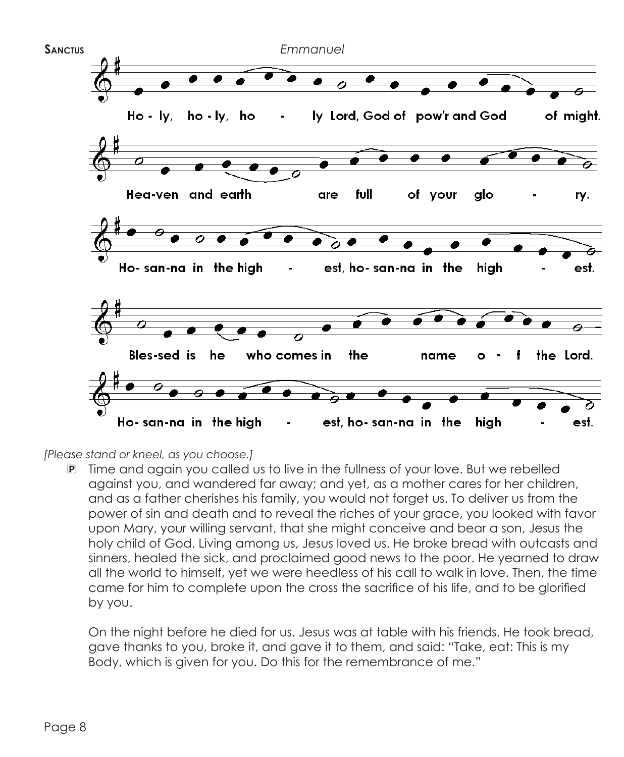

*[Please stand or kneel, as you choose.]*

P Time and again you called us to live in the fullness of your love. But we rebelled against you, and wandered far away; and yet, as a mother cares for her children, and as a father cherishes his family, you would not forget us. To deliver us from the power of sin and death and to reveal the riches of your grace, you looked with favor upon Mary, your willing servant, that she might conceive and bear a son, Jesus the holy child of God. Living among us, Jesus loved us. He broke bread with outcasts and sinners, healed the sick, and proclaimed good news to the poor. He yearned to draw all the world to himself, yet we were heedless of his call to walk in love. Then, the time came for him to complete upon the cross the sacrifice of his life, and to be glorified by you.

 On the night before he died for us, Jesus was at table with his friends. He took bread, gave thanks to you, broke it, and gave it to them, and said: "Take, eat: This is my Body, which is given for you. Do this for the remembrance of me."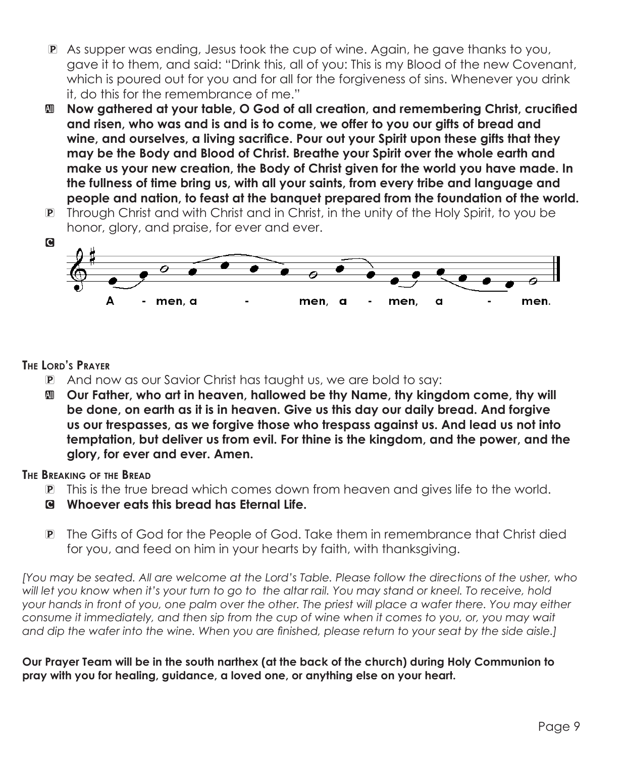- P As supper was ending, Jesus took the cup of wine. Again, he gave thanks to you, gave it to them, and said: "Drink this, all of you: This is my Blood of the new Covenant, which is poured out for you and for all for the forgiveness of sins. Whenever you drink it, do this for the remembrance of me."
- $\blacksquare$  Now gathered at your table, O God of all creation, and remembering Christ, crucified **and risen, who was and is and is to come, we offer to you our gifts of bread and wine, and ourselves, a living sacrifice. Pour out your Spirit upon these gifts that they may be the Body and Blood of Christ. Breathe your Spirit over the whole earth and make us your new creation, the Body of Christ given for the world you have made. In the fullness of time bring us, with all your saints, from every tribe and language and people and nation, to feast at the banquet prepared from the foundation of the world.**
- P Through Christ and with Christ and in Christ, in the unity of the Holy Spirit, to you be honor, glory, and praise, for ever and ever.



## **The Lord's Prayer**

- P And now as our Savior Christ has taught us, we are bold to say:
- a **Our Father, who art in heaven, hallowed be thy Name, thy kingdom come, thy will be done, on earth as it is in heaven. Give us this day our daily bread. And forgive us our trespasses, as we forgive those who trespass against us. And lead us not into temptation, but deliver us from evil. For thine is the kingdom, and the power, and the glory, for ever and ever. Amen.**

### **The Breaking of the Bread**

- P This is the true bread which comes down from heaven and gives life to the world.
- C **Whoever eats this bread has Eternal Life.**
- P The Gifts of God for the People of God. Take them in remembrance that Christ died for you, and feed on him in your hearts by faith, with thanksgiving.

*[You may be seated. All are welcome at the Lord's Table. Please follow the directions of the usher, who will let you know when it's your turn to go to the altar rail. You may stand or kneel. To receive, hold your hands in front of you, one palm over the other. The priest will place a wafer there. You may either consume it immediately, and then sip from the cup of wine when it comes to you, or, you may wait and dip the wafer into the wine. When you are finished, please return to your seat by the side aisle.]*

**Our Prayer Team will be in the south narthex (at the back of the church) during Holy Communion to pray with you for healing, guidance, a loved one, or anything else on your heart.**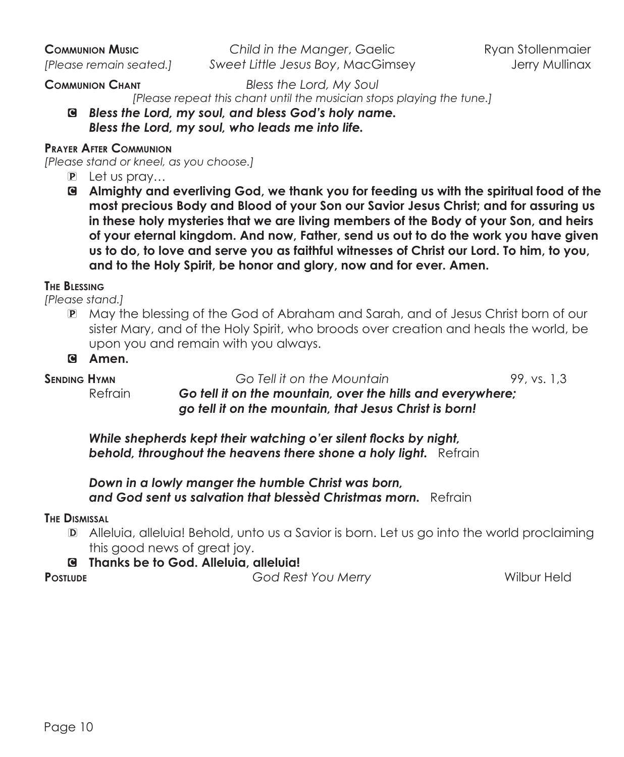**Communion Music** *Child in the Manger*, Gaelic Ryan Stollenmaier *[Please remain seated.] Sweet Little Jesus Boy*, MacGimsey Jerry Mullinax

**Communion Chant** *Bless the Lord, My Soul*

*[Please repeat this chant until the musician stops playing the tune.]*

C *Bless the Lord, my soul, and bless God's holy name. Bless the Lord, my soul, who leads me into life.* 

### **Prayer After Communion**

*[Please stand or kneel, as you choose.]*

- P Let us pray…
- C **Almighty and everliving God, we thank you for feeding us with the spiritual food of the most precious Body and Blood of your Son our Savior Jesus Christ; and for assuring us in these holy mysteries that we are living members of the Body of your Son, and heirs of your eternal kingdom. And now, Father, send us out to do the work you have given us to do, to love and serve you as faithful witnesses of Christ our Lord. To him, to you, and to the Holy Spirit, be honor and glory, now and for ever. Amen.**

#### **The Blessing**

*[Please stand.]*

P May the blessing of the God of Abraham and Sarah, and of Jesus Christ born of our sister Mary, and of the Holy Spirit, who broods over creation and heals the world, be upon you and remain with you always.

**SENDING HYMN Go Tell it on the Mountain** 99, vs. 1,3

Refrain *Go tell it on the mountain, over the hills and everywhere; go tell it on the mountain, that Jesus Christ is born!*

*While shepherds kept their watching o'er silent flocks by night,* **behold, throughout the heavens there shone a holy light.** Refrain

*Down in a lowly manger the humble Christ was born, and God sent us salvation that blessèd Christmas morn.* Refrain

#### **The Dismissal**

D Alleluia, alleluia! Behold, unto us a Savior is born. Let us go into the world proclaiming this good news of great joy.

#### C **Thanks be to God. Alleluia, alleluia!**

**Postlude** *God Rest You Merry* Wilbur Held

C **Amen.**